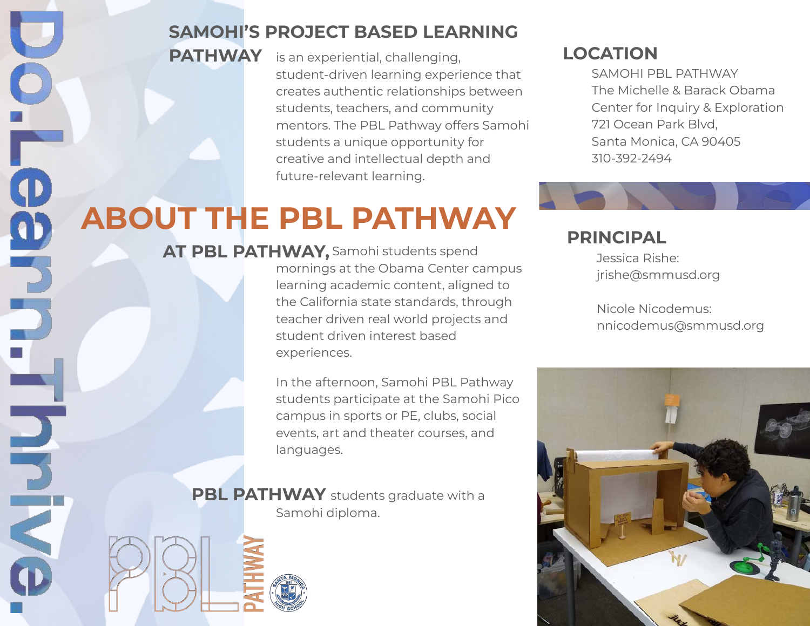#### **SAMOHI'S PROJECT BASED LEARNING**

is an experiential, challenging, **PATHWAY LOCATION** student-driven learning experience that creates authentic relationships between students, teachers, and community mentors. The PBL Pathway offers Samohi students a unique opportunity for creative and intellectual depth and future-relevant learning.

SAMOHI PBL PATHWAY The Michelle & Barack Obama Center for Inquiry & Exploration 721 Ocean Park Blvd, Santa Monica, CA 90405 310-392-2494

## **ABOUT THE PBL PATHWAY**

**AT PBL PATHWAY,** Samohi students spend mornings at the Obama Center campus learning academic content, aligned to the California state standards, through teacher driven real world projects and student driven interest based experiences.

> In the afternoon, Samohi PBL Pathway students participate at the Samohi Pico campus in sports or PE, clubs, social events, art and theater courses, and languages.

**PBL PATHWAY** students graduate with a Samohi diploma.

NUN

#### **PRINCIPAL**

Jessica Rishe: jrishe@smmusd.org

Nicole Nicodemus: nnicodemus@smmusd.org